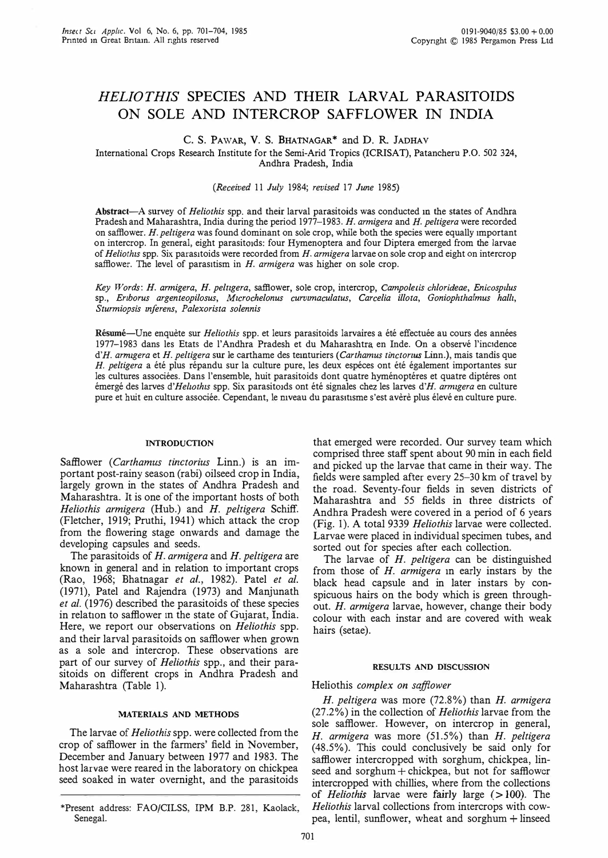# HELlO THIS SPECIES AND THEIR LARVAL PARASITOIDS ON SOLE AND INTERCROP SAFFLOWER IN INDIA

C. S. PAWAR, V. S. BHATNAGAR\* and D. R. JADHAV

International Crops Research Institute for the Semi-Arid Tropics (ICRrSAT), Patancheru P.O. 502 324, Andhra Pradesh, India

### (Received 11 July 1984; revised 17 June 1985)

Abstract-A survey of *Heliothis* spp. and their larval parasitoids was conducted in the states of Andhra Pradesh and Maharashtra, India during the period 1977-1983. H. armigera and H. peltigera were recorded on safflower.  $H$ . peltigera was found dominant on sole crop, while both the species were equally important on intercrop. In general, eight parasitoids: four Hymenoptera and four Diptera emerged from the larvae of Heliothis spp. Six parasitoids were recorded from  $H$ . armigera larvae on sole crop and eight on intercrop safflower. The level of parasitism in  $H$ . armigera was higher on sole crop.

Key Words: H. armigera, H. peltigera, safflower, sole crop, intercrop, Campoletis chlorideae, Enicospilus sp., Eriborus argenteopilosus, Microchelonus curvimaculatus, Carcelia illota, Goniophthalmus halli, Sturmiopsis inferens, Palexorista solennis

Résumé-Une enquète sur Heliothis spp. et leurs parasitoids larvaires a été effectuée au cours des années 1977-1983 dans les Etats de l' Andhra Pradesh et du Maharashtra. en Inde. On a observe I'incldence d'H. armigera et H. peltigera sur le carthame des teinturiers (Carthamus tinctorius Linn.), mais tandis que H. peltigera a été plus répandu sur la culture pure, les deux espéces ont été également importantes sur les cultures associées. Dans l'ensemble, huit parasitoids dont quatre hyménoptéres et quatre diptéres ont émergé des larves d'Heliothis spp. Six parasitoids ont été signales chez les larves d'H. armigera en culture pure et huit en culture associée. Cependant, le niveau du parasitisme s'est avère plus élevé en culture pure.

### INTRODUCTION

Safflower (Carthamus tinctorius Linn.) is an important post-rainy season (rabi) oilseed crop in India, largely grown in the states of Andhra Pradesh and Maharashtra. It is one of the important hosts of both Heliothis armigera (Hub.) and H. peltigera Schiff. (Fletcher, 1919; Pruthi, 1941) which attack the crop from the flowering stage onwards and damage the developing capsules and seeds.

The parasitoids of H. armigera and H. peltigera are known in general and in relation to important crops (Rao, 1968; Bhatnagar *et al.*, 1982). Patel *et al.* (1971), Patel and Rajendra (1973) and Manjunath et al. (1976) described the parasitoids of these species in relation to safflower in the state of Gujarat, India. Here, we report our observations on Heliothis spp. and their larval parasitoids on safflower when grown as a sole and intercrop. These observations are part of our survey of *Heliothis* spp., and their parasitoids on different crops in Andhra Pradesh and Maharashtra (Table I).

### MATERIALS AND METHODS

The larvae of *Heliothis* spp. were collected from the crop of safflower in the farmers' field in November, December and January between 1977 and 1983. The host larvae were reared in the laboratory on chickpea seed soaked in water overnight, and the parasitoids

that emerged were recorded. Our survey team which comprised three staff spent about 90 min in each field and picked up the larvae that came in their way. The fields were sampled after every 25-30 km of travel by the road. Seventy-four fields in seven districts of Maharashtra and 55 fields in three districts of Andhra Pradesh were covered in a period of 6 years (Fig. 1). A total 9339 Heliothis larvae were collected. Larvae were placed in individual specimen tubes, and sorted out for species after each collection.

The larvae of H. peltigera can be distinguished from those of H. armigera in early instars by the black head capsule and in later instars by conspicuous hairs on the body which is green throughout. H. armigera larvae, however, change their body colour with each instar and are covered with weak hairs (setae).

#### RESULTS AND DISCUSSION

## Heliothis complex on safflower

H. peltigera was more (72.8%) than H. armigera (27.2%) in the collection of Heliothis larvae from the sole safflower. However, on intercrop in general, H. armigera was more (51.5%) than H. peltigera (48.5%). This could conclusively be said only for safflower intercropped with sorghum, chickpea, linseed and sorghum + chickpea, but not for safflower intercropped with chillies, where from the collections of *Heliothis* larvae were fairly large  $(>100)$ . The Heliothis larval collections from intercrops with cowpea, lentil, sunflower, wheat and sorghum + linseed

<sup>\*</sup>Present address: FAO/CILSS, rPM B.P. 281, Kaolack, Senegal.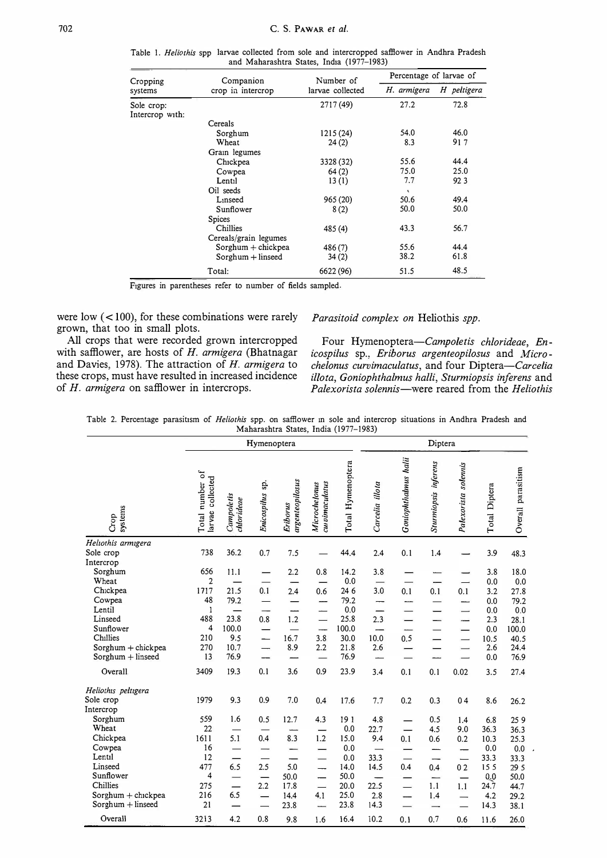| Cropping<br>systems           | Companion         | Number of        | Percentage of larvae of |             |  |  |
|-------------------------------|-------------------|------------------|-------------------------|-------------|--|--|
|                               | crop in intercrop | larvae collected | H. armigera             | H peltigera |  |  |
| Sole crop:<br>Intercrop with: |                   | 2717 (49)        | 27.2                    | 72.8        |  |  |
|                               | Cereals           |                  |                         |             |  |  |
|                               | Sorghum           | 1215(24)         | 54.0                    | 46.0        |  |  |
|                               | Wheat             | 24(2)            | 8.3                     | 917         |  |  |
|                               | Grain legumes     |                  |                         |             |  |  |
|                               | Chickpea          | 3328 (32)        | 55.6                    | 44.4        |  |  |
|                               | Cowpea            | 64(2)            | 75.0                    | 25.0        |  |  |
|                               | Lentil            | 13(1)            | 7.7                     | 923         |  |  |
|                               | Oil seeds         |                  | $\overline{\mathbf{q}}$ |             |  |  |
|                               | Linseed           | 965(20)          | 50.6                    | 49.4        |  |  |
|                               | Sunflower         | 8(2)             | 50.0                    | 50.0        |  |  |
|                               | Spices            |                  |                         |             |  |  |
|                               | Chillies          | 485 (4)          | 43.3                    | 56.7        |  |  |

Sorghum + chickpea 486 (7) 55.6 44.4<br>Sorghum + linseed 34 (2) 38.2 61.8

Total: 6622 (96) 51.5 48.5

Table 1. Heliothis spp larvae collected from sole and intercropped safllower in Andhra Pradesh

FIgures in parentheses refer to number of fields sampled.

Cereals/grain legumes

 $S$ orghum + linseed

were low  $(< 100$ ), for these combinations were rarely grown, that too in small plots.<br>All crops that were recorded grown intercropped

All crops that were recorded grown intercropped Four Hymenoptera—Campoletis chlorideae, En-<br>with safflower, are hosts of H. armigera (Bhatnagar icospilus sp., Eriborus argenteopilosus and Microwith safflower, are hosts of H. armigera (Bhatnagar icospilus sp., Eriborus argenteopilosus and Micro-<br>and Davies, 1978). The attraction of H. armigera to chelonus curvimaculatus, and four Diptera—Carcelia and Davies, 1978). The attraction of H. armigera to chelonus curvimaculatus, and four Diptera—Carcelia these crops, must have resulted in increased incidence *illota*. Goniophthalmus halli. Sturmiopsis inferens and these crops, must have resulted in increased incidence *illota, Goniophthalmus halli, Sturmiopsis inferens* and of H. armigera on safflower in intercrops.<br>Palexorista solennis—were reared from the Heliothis

Parasitoid complex on Heliothis spp.

Palexorista solennis-were reared from the Heliothis

Table 2. Percentage parasitism of *Heliothis* spp. on safflower in sole and intercrop situations in Andhra Pradesh and<br>Moharashtra States, India (1977-1983) ashtra States, India (1977-1983)

|                                                                                                                                                            | $m$ anarasinta States, Thuia (1977–1969)<br>Hymenoptera                          |                                                                                                  |                                                                                     |                                                                            |                                                                                                                                                                    | Diptera                                                                             |                                                                                        |                                        |                                                            |                                                                        |                                                                                 |                                                                                     |
|------------------------------------------------------------------------------------------------------------------------------------------------------------|----------------------------------------------------------------------------------|--------------------------------------------------------------------------------------------------|-------------------------------------------------------------------------------------|----------------------------------------------------------------------------|--------------------------------------------------------------------------------------------------------------------------------------------------------------------|-------------------------------------------------------------------------------------|----------------------------------------------------------------------------------------|----------------------------------------|------------------------------------------------------------|------------------------------------------------------------------------|---------------------------------------------------------------------------------|-------------------------------------------------------------------------------------|
| systems<br>Crop                                                                                                                                            | Total number of<br>larvae collected                                              | Campoletis<br>chlorideae                                                                         | Enicospilus sp.                                                                     | argenteopilosus<br><b>Eriborus</b>                                         | cu vimaculatus<br>Microchelonus                                                                                                                                    | Total Hymenoptera                                                                   | Carcelia illota                                                                        | Goniophthalmus halii                   | Sturmiopsis inferens                                       | Palexorista solennis                                                   | Total Diptera                                                                   | Overall parasitism                                                                  |
| Heliothis armigera<br>Sole crop                                                                                                                            | 738                                                                              | 36.2                                                                                             | 0.7                                                                                 | 7.5                                                                        |                                                                                                                                                                    | 44.4                                                                                | 2.4                                                                                    | 0.1                                    | 1.4                                                        |                                                                        | 3.9                                                                             | 48.3                                                                                |
| Intercrop<br>Sorghum<br>Wheat<br>Chickpea<br>Cowpea<br>Lentil<br>Linseed<br>Sunflower<br>Chillies<br>Sorghum + chickpea<br>$S$ orghum + linseed<br>Overall | 656<br>$\overline{2}$<br>1717<br>48<br>1<br>488<br>4<br>210<br>270<br>13<br>3409 | 11.1<br>21.5<br>79.2<br>$\overline{\phantom{0}}$<br>23.8<br>100.0<br>9.5<br>10.7<br>76.9<br>19.3 | —<br>0.1<br>$\overline{\phantom{0}}$<br>0.8<br>—<br>$\overline{\phantom{a}}$<br>0.1 | 2.2<br>2.4<br>---<br>1.2<br>$\overline{\phantom{0}}$<br>16.7<br>8.9<br>3.6 | 0.8<br>0.6<br>---<br>$\overline{\phantom{0}}$<br>3.8<br>2.2<br>0.9                                                                                                 | 14.2<br>0.0<br>24 6<br>79.2<br>0.0<br>25.8<br>100.0<br>30.0<br>21.8<br>76.9<br>23.9 | 3.8<br>$\overline{\phantom{0}}$<br>3.0<br>2.3<br>10.0<br>2.6<br>3.4                    | 0.1<br>-<br>—<br>—<br>——<br>0.5<br>0.1 | 0.1<br>0.1                                                 | 0.1<br>$\overline{\phantom{a}}$<br>—<br>0.02                           | 3.8<br>0.0<br>3.2<br>0.0<br>0.0<br>2.3<br>0.0<br>10.5<br>2.6<br>0.0<br>3.5      | 18.0<br>0.0<br>27.8<br>79.2<br>0.0<br>28.1<br>100.0<br>40.5<br>24.4<br>76.9<br>27.4 |
| Heliothis peltigera<br>Sole crop<br>Intercrop                                                                                                              | 1979                                                                             | 9.3                                                                                              | 0.9                                                                                 | 7.0                                                                        | 0.4                                                                                                                                                                | 17.6                                                                                | 7.7                                                                                    | 0.2                                    | 0.3                                                        | 04                                                                     | 8.6                                                                             | 26.2                                                                                |
| Sorghum<br>Wheat<br>Chickpea<br>Cowpea<br>Lentil<br>Linseed<br>Sunflower<br>Chillies<br>$Sorphism + chckpea$<br>Sorghum + linseed<br>Overall               | 559<br>22<br>1611<br>16<br>12<br>477<br>4<br>275<br>216<br>21<br>3213            | 1.6<br>5.1<br>—<br>6.5<br>$\overline{\phantom{0}}$<br>$\qquad \qquad$<br>6.5<br>4.2              | 0.5<br>0.4<br>—<br>2.5<br>—<br>2.2<br>—<br>0.8                                      | 12.7<br>8.3<br>5.0<br>50.0<br>17.8<br>14.4<br>23.8<br>9.8                  | 4.3<br>$\overline{\phantom{0}}$<br>1.2<br>$\overline{\phantom{0}}$<br>$\overline{\phantom{0}}$<br>$\overbrace{\phantom{123221111}}$<br>4.1<br>$\frac{1}{2}$<br>1.6 | 191<br>0.0<br>15.0<br>0.0<br>0.0<br>14.0<br>50.0<br>20.0<br>25.0<br>23.8<br>16.4    | 4.8<br>22.7<br>9.4<br>$\longrightarrow$<br>33.3<br>14.5<br>22.5<br>2.8<br>14.3<br>10.2 | —<br>0.1<br>—<br>0.4<br>—<br>--<br>0.1 | 0.5<br>4.5<br>0.6<br>----<br>0.4<br>-<br>1.1<br>1.4<br>0.7 | 1.4<br>9.0<br>0.2<br>02<br>—<br>1.1<br>$\overline{\phantom{0}}$<br>0.6 | 6.8<br>36.3<br>10.3<br>0.0<br>33.3<br>155<br>0.0<br>24.7<br>4.2<br>14.3<br>11.6 | 259<br>36.3<br>25.3<br>0.0<br>33.3<br>29 5<br>50.0<br>44.7<br>29.2<br>38.1<br>26.0  |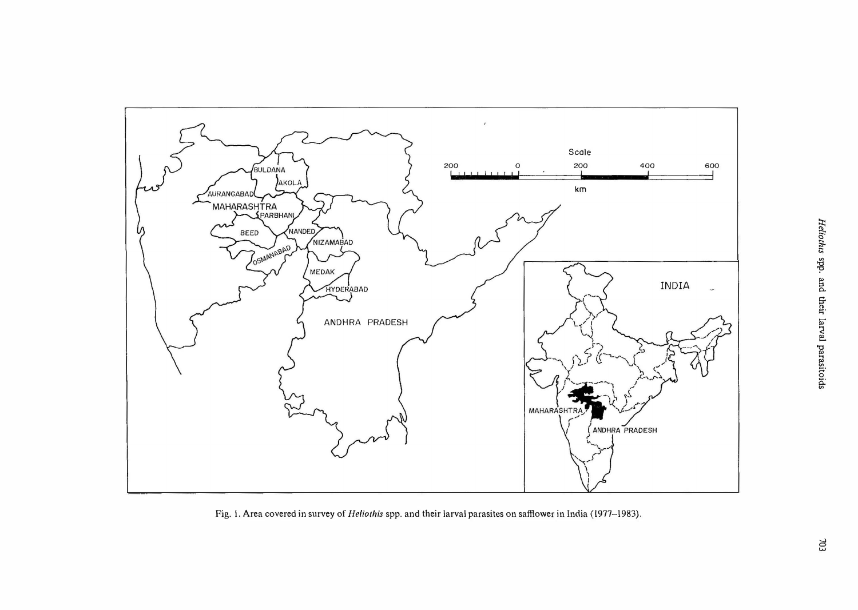

Fig. 1. Area covered in survey of *Heliothis* spp. and their larval parasites on safflower in India (1977-1983).